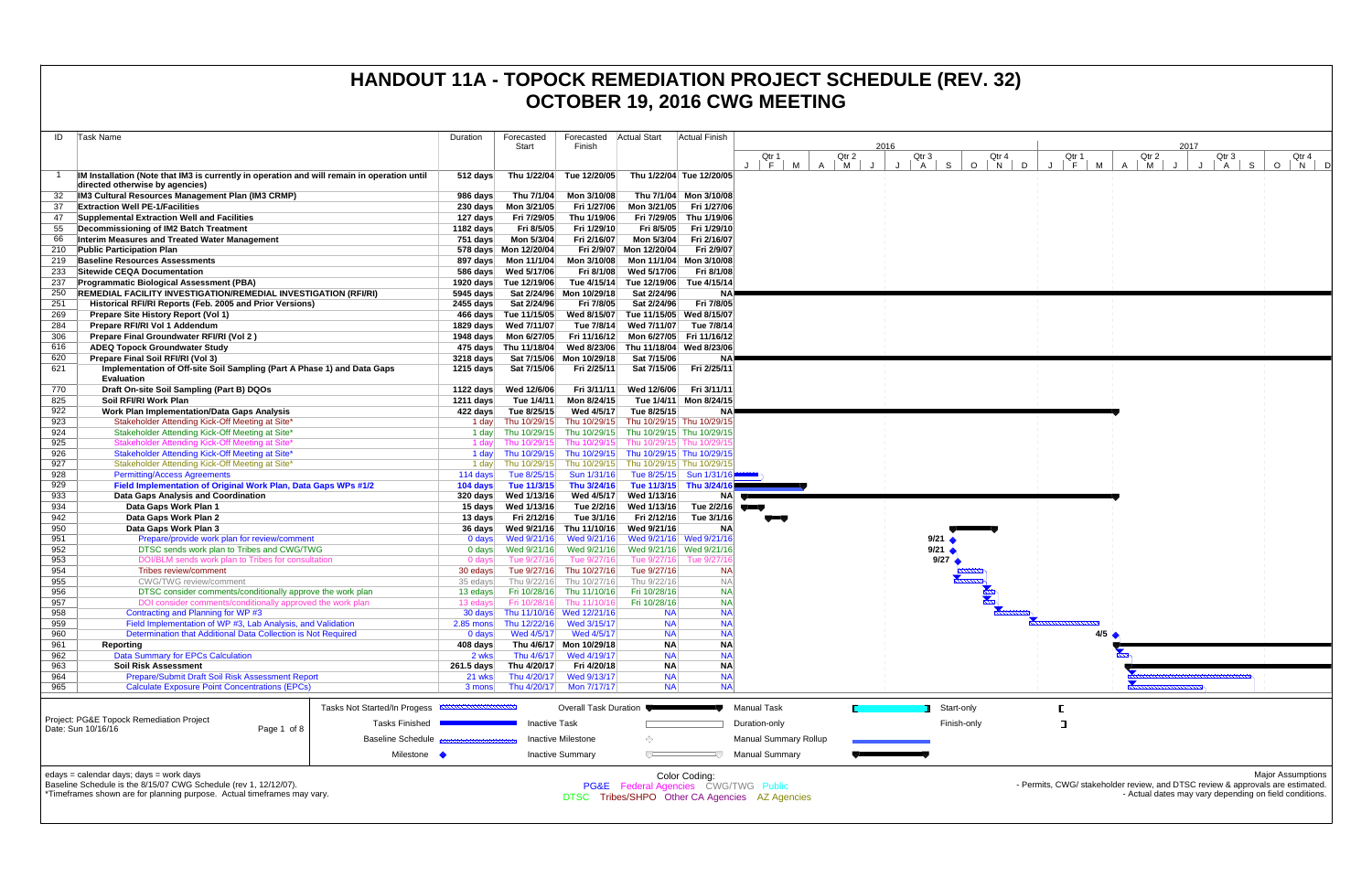| ID  | <b>Task Name</b>                                                                                                               | Duration           | Forecasted             | Forecasted                | Actual Start                                    | <b>Actual Finish</b>     |                                                |                 |        |                 |                     |
|-----|--------------------------------------------------------------------------------------------------------------------------------|--------------------|------------------------|---------------------------|-------------------------------------------------|--------------------------|------------------------------------------------|-----------------|--------|-----------------|---------------------|
|     |                                                                                                                                |                    | Start                  | Finish                    |                                                 |                          |                                                |                 | 2016   |                 |                     |
|     |                                                                                                                                |                    |                        |                           |                                                 |                          | Qtr 1<br>F<br>м<br>$J - 1$                     | Qtr 2<br>A<br>M | J<br>J | Qtr 3<br>S<br>A | Qtr<br>$\circ$<br>N |
| -1  | IM Installation (Note that IM3 is currently in operation and will remain in operation until<br>directed otherwise by agencies) | 512 days           | Thu 1/22/04            | Tue 12/20/05              |                                                 | Thu 1/22/04 Tue 12/20/05 |                                                |                 |        |                 |                     |
| 32  | IM3 Cultural Resources Management Plan (IM3 CRMP)                                                                              | 986 days           | Thu 7/1/04             | Mon 3/10/08               |                                                 | Thu 7/1/04 Mon 3/10/08   |                                                |                 |        |                 |                     |
| 37  | <b>Extraction Well PE-1/Facilities</b>                                                                                         | 230 days           | Mon 3/21/05            | Fri 1/27/06               | Mon 3/21/05                                     | Fri 1/27/06              |                                                |                 |        |                 |                     |
| 47  | Supplemental Extraction Well and Facilities                                                                                    | 127 days           | Fri 7/29/05            | Thu 1/19/06               |                                                 | Fri 7/29/05 Thu 1/19/06  |                                                |                 |        |                 |                     |
| 55  | Decommissioning of IM2 Batch Treatment                                                                                         | 1182 days          | Fri 8/5/05             | Fri 1/29/10               | Fri 8/5/05                                      | Fri 1/29/10              |                                                |                 |        |                 |                     |
| 66  | Interim Measures and Treated Water Management                                                                                  | 751 days           | Mon 5/3/04             | Fri 2/16/07               | Mon 5/3/04                                      | Fri 2/16/07              |                                                |                 |        |                 |                     |
| 210 | <b>Public Participation Plan</b>                                                                                               |                    | 578 days Mon 12/20/04  | Fri 2/9/07                | Mon 12/20/04                                    | Fri 2/9/07               |                                                |                 |        |                 |                     |
| 219 | <b>Baseline Resources Assessments</b>                                                                                          | 897 days           | Mon 11/1/04            | Mon 3/10/08               | Mon 11/1/04 Mon 3/10/08                         |                          |                                                |                 |        |                 |                     |
| 233 | Sitewide CEQA Documentation                                                                                                    | 586 days           | Wed 5/17/06            | Fri 8/1/08                | Wed 5/17/06                                     | Fri 8/1/08               |                                                |                 |        |                 |                     |
| 237 | <b>Programmatic Biological Assessment (PBA)</b>                                                                                |                    | 1920 days Tue 12/19/06 | Tue 4/15/14               | Tue 12/19/06                                    | Tue 4/15/14              |                                                |                 |        |                 |                     |
| 250 | <b>REMEDIAL FACILITY INVESTIGATION/REMEDIAL INVESTIGATION (RFI/RI)</b>                                                         | 5945 days          |                        | Sat 2/24/96 Mon 10/29/18  | Sat 2/24/96                                     | ΝA                       |                                                |                 |        |                 |                     |
| 251 | Historical RFI/RI Reports (Feb. 2005 and Prior Versions)                                                                       | $2455$ days        | Sat 2/24/96            | Fri 7/8/05                | Sat 2/24/96                                     | Fri 7/8/05               |                                                |                 |        |                 |                     |
| 269 | Prepare Site History Report (Vol 1)                                                                                            |                    | 466 days Tue 11/15/05  | Wed 8/15/07               | Tue 11/15/05 Wed 8/15/07                        |                          |                                                |                 |        |                 |                     |
| 284 | Prepare RFI/RI Vol 1 Addendum                                                                                                  | 1829 days          | Wed 7/11/07            | Tue 7/8/14                | Wed 7/11/07                                     | Tue 7/8/14               |                                                |                 |        |                 |                     |
| 306 | Prepare Final Groundwater RFI/RI (Vol 2)                                                                                       | 1948 days          | Mon 6/27/05            | Fri 11/16/12              | Mon 6/27/05 Fri 11/16/12                        |                          |                                                |                 |        |                 |                     |
| 616 | <b>ADEQ Topock Groundwater Study</b>                                                                                           |                    | 475 days Thu 11/18/04  | Wed 8/23/06               | Thu 11/18/04 Wed 8/23/06                        |                          |                                                |                 |        |                 |                     |
| 620 | Prepare Final Soil RFI/RI (Vol 3)                                                                                              | $3218$ days        |                        | Sat 7/15/06 Mon 10/29/18  | Sat 7/15/06                                     | NA.                      |                                                |                 |        |                 |                     |
| 621 | Implementation of Off-site Soil Sampling (Part A Phase 1) and Data Gaps<br><b>Evaluation</b>                                   | 1215 days          | Sat 7/15/06            | Fri 2/25/11               | Sat 7/15/06                                     | Fri 2/25/11              |                                                |                 |        |                 |                     |
| 770 | Draft On-site Soil Sampling (Part B) DQOs                                                                                      | 1122 days          | Wed 12/6/06            | Fri 3/11/11               | Wed 12/6/06                                     | Fri 3/11/11              |                                                |                 |        |                 |                     |
| 825 | Soil RFI/RI Work Plan                                                                                                          | 1211 days          | Tue 1/4/11             | Mon 8/24/15               |                                                 | Tue 1/4/11 Mon 8/24/15   |                                                |                 |        |                 |                     |
| 922 | <b>Work Plan Implementation/Data Gaps Analysis</b>                                                                             | 422 days           | Tue 8/25/15            | Wed 4/5/17                | Tue 8/25/15                                     | NA                       |                                                |                 |        |                 |                     |
| 923 | Stakeholder Attending Kick-Off Meeting at Site*                                                                                |                    | 1 day Thu 10/29/15     | Thu 10/29/15              | Thu 10/29/15 Thu 10/29/15                       |                          |                                                |                 |        |                 |                     |
| 924 | Stakeholder Attending Kick-Off Meeting at Site*                                                                                | 1 day              | Thu 10/29/15           | Thu 10/29/15              | Thu 10/29/15 Thu 10/29/15                       |                          |                                                |                 |        |                 |                     |
| 925 | Stakeholder Attending Kick-Off Meeting at Site*                                                                                | 1 day              | Thu 10/29/15           | Thu 10/29/15              | Thu 10/29/15 Thu 10/29/15                       |                          |                                                |                 |        |                 |                     |
| 926 | Stakeholder Attending Kick-Off Meeting at Site*                                                                                | 1 day              | Thu 10/29/15           | Thu 10/29/15              | Thu 10/29/15 Thu 10/29/15                       |                          |                                                |                 |        |                 |                     |
| 927 | Stakeholder Attending Kick-Off Meeting at Site*                                                                                | 1 day              | Thu 10/29/15           | Thu 10/29/15              | Thu 10/29/15 Thu 10/29/15                       |                          |                                                |                 |        |                 |                     |
| 928 | <b>Permitting/Access Agreements</b>                                                                                            | 114 days           | Tue 8/25/15            | Sun 1/31/16               |                                                 | Tue 8/25/15 Sun 1/31/16  |                                                |                 |        |                 |                     |
| 929 | Field Implementation of Original Work Plan, Data Gaps WPs #1/2                                                                 | 104 days           | Tue 11/3/15            | Thu 3/24/16               |                                                 | Tue 11/3/15 Thu 3/24/16  |                                                |                 |        |                 |                     |
| 933 | Data Gaps Analysis and Coordination                                                                                            | 320 days           | Wed 1/13/16            | Wed 4/5/17                | Wed 1/13/16                                     |                          | NA                                             |                 |        |                 |                     |
| 934 | Data Gaps Work Plan 1                                                                                                          | 15 days            | Wed 1/13/16            | Tue 2/2/16                | Wed 1/13/16                                     | Tue 2/2/16               |                                                |                 |        |                 |                     |
| 942 | Data Gaps Work Plan 2                                                                                                          | 13 days            | Fri 2/12/16            | Tue 3/1/16                | Fri 2/12/16                                     | Tue 3/1/16               |                                                |                 |        |                 |                     |
| 950 | Data Gaps Work Plan 3                                                                                                          | 36 days            | Wed 9/21/16            | Thu 11/10/16              | Wed 9/21/16                                     | NA                       |                                                |                 |        |                 |                     |
| 951 | Prepare/provide work plan for review/comment                                                                                   | $0$ days           | Wed 9/21/16            | Wed 9/21/16               |                                                 | Wed 9/21/16 Wed 9/21/16  |                                                |                 |        | 9/21            |                     |
| 952 | DTSC sends work plan to Tribes and CWG/TWG                                                                                     | $0$ days           | Wed 9/21/16            | Wed 9/21/16               | Wed 9/21/16 Wed 9/21/16                         |                          |                                                |                 |        | 9/21            |                     |
| 953 | DOI/BLM sends work plan to Tribes for consultation                                                                             | 0 days             | Tue 9/27/16            | Tue 9/27/16               |                                                 | Tue 9/27/16 Tue 9/27/16  |                                                |                 |        | 9/27            |                     |
| 954 | Tribes review/comment                                                                                                          | 30 edays           | Tue 9/27/16            | Thu 10/27/16              | Tue 9/27/16                                     | <b>NA</b>                |                                                |                 |        |                 |                     |
| 955 | <b>CWG/TWG</b> review/comment                                                                                                  | 35 edays           | Thu 9/22/16            | Thu 10/27/16              | Thu 9/22/16                                     | <b>NA</b>                |                                                |                 |        |                 |                     |
| 956 | DTSC consider comments/conditionally approve the work plan                                                                     | 13 edays           | Fri 10/28/16           | Thu 11/10/16              | Fri 10/28/16                                    | <b>NA</b>                |                                                |                 |        |                 |                     |
| 957 | DOI consider comments/conditionally approved the work plan                                                                     | 13 edays           | Fri 10/28/16           | Thu 11/10/16              | Fri 10/28/16                                    | <b>NA</b>                |                                                |                 |        |                 | <b>Road</b>         |
| 958 | Contracting and Planning for WP #3                                                                                             | 30 days            |                        | Thu 11/10/16 Wed 12/21/16 | <b>NA</b>                                       | <b>NA</b>                |                                                |                 |        |                 |                     |
| 959 | Field Implementation of WP #3, Lab Analysis, and Validation                                                                    |                    | 2.85 mons Thu 12/22/16 | Wed 3/15/17               | <b>NA</b>                                       | <b>NA</b>                |                                                |                 |        |                 |                     |
| 960 | Determination that Additional Data Collection is Not Required                                                                  | 0 days             | Wed 4/5/17             | Wed 4/5/17                | <b>NA</b>                                       | <b>NA</b>                |                                                |                 |        |                 |                     |
| 961 | Reporting                                                                                                                      | 408 days           |                        | Thu 4/6/17 Mon 10/29/18   | <b>NA</b>                                       | <b>NA</b>                |                                                |                 |        |                 |                     |
| 962 | Data Summary for EPCs Calculation                                                                                              | 2 wks              | Thu 4/6/17             | Wed 4/19/17               | <b>NA</b>                                       | <b>NA</b>                |                                                |                 |        |                 |                     |
| 963 | <b>Soil Risk Assessment</b>                                                                                                    | $261.5$ days       | Thu 4/20/17            | Fri 4/20/18               | <b>NA</b>                                       | <b>NA</b>                |                                                |                 |        |                 |                     |
| 964 | Prepare/Submit Draft Soil Risk Assessment Report                                                                               | 21 wks             | Thu 4/20/17            | Wed 9/13/17               | <b>NA</b>                                       | <b>NA</b>                |                                                |                 |        |                 |                     |
| 965 | <b>Calculate Exposure Point Concentrations (EPCs)</b>                                                                          | 3 mons             | Thu 4/20/17            | Mon 7/17/17               | <b>NA</b>                                       | <b>NA</b>                |                                                |                 |        |                 |                     |
|     | Tasks Not Started/In Progess                                                                                                   | <b>MMMMMMMMMMM</b> |                        | Overall Task Duration     |                                                 |                          | <b>Manual Task</b>                             |                 |        |                 | Start-only          |
|     | Project: PG&E Topock Remediation Project<br><b>Tasks Finished</b>                                                              |                    | <b>Inactive Task</b>   |                           |                                                 |                          | Duration-only                                  |                 |        |                 | Finish-only         |
|     | Date: Sun 10/16/16<br>Page 1 of 8<br><b>Baseline Schedule</b>                                                                  |                    |                        | Inactive Milestone        |                                                 |                          | Manual Summary Rollup                          |                 |        |                 |                     |
|     | Milestone •                                                                                                                    |                    |                        | <b>Inactive Summary</b>   | ᅮ                                               |                          | <b>Manual Summary</b>                          |                 |        |                 |                     |
|     |                                                                                                                                |                    |                        |                           |                                                 |                          |                                                |                 |        |                 |                     |
|     | edays = calendar days; days = work days                                                                                        |                    |                        |                           |                                                 | Color Coding:            |                                                |                 |        |                 |                     |
|     | Baseline Schedule is the 8/15/07 CWG Schedule (rev 1, 12/12/07).                                                               |                    |                        |                           | <b>PG&amp;E</b> Federal Agencies CWG/TWG Public |                          |                                                |                 |        |                 |                     |
|     | *Timeframes shown are for planning purpose. Actual timeframes may vary.                                                        |                    |                        |                           |                                                 |                          | DTSC Tribes/SHPO Other CA Agencies AZ Agencies |                 |        |                 |                     |

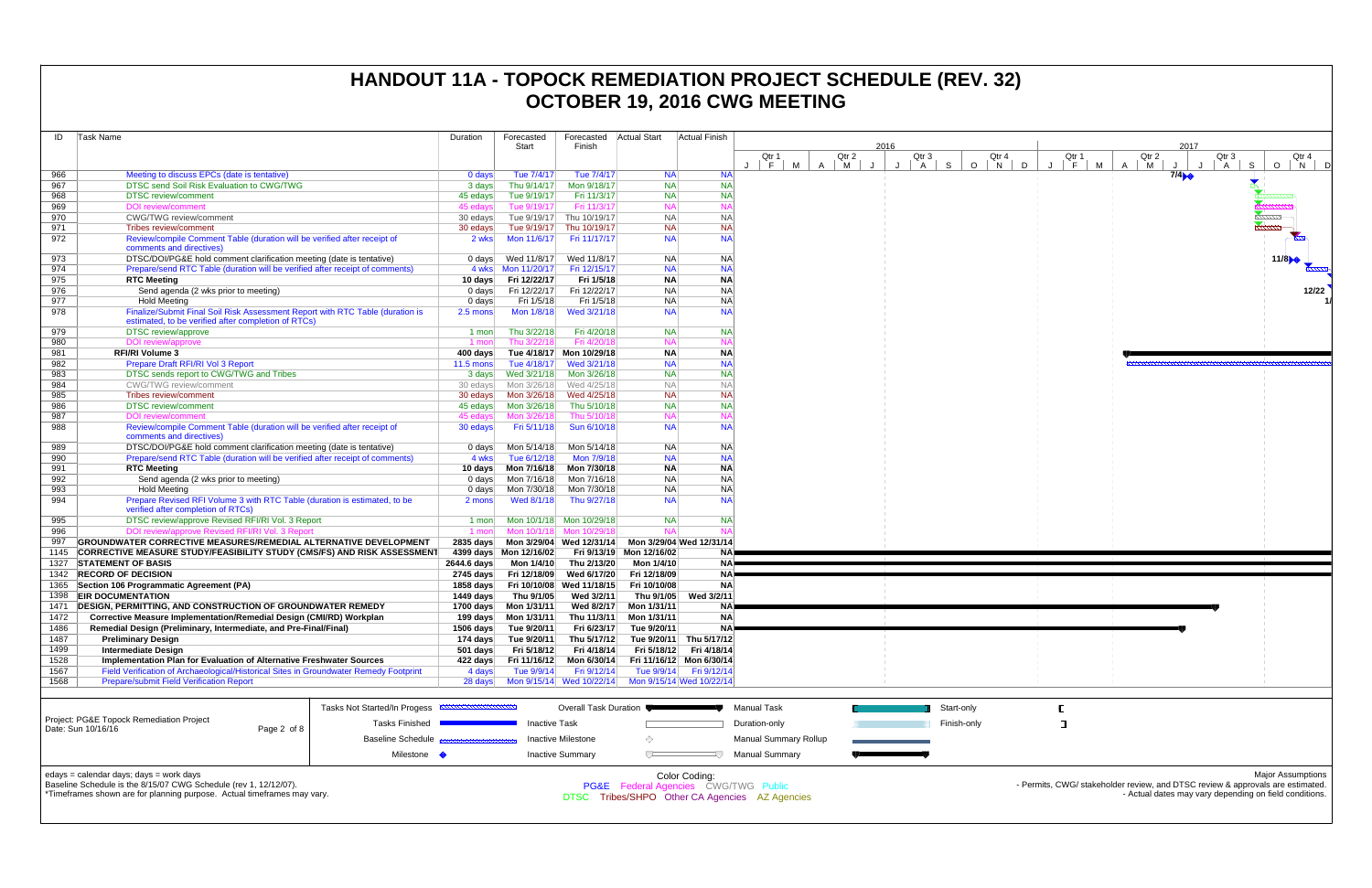| ID   | <b>Task Name</b>                                                                                     | Duration           | Forecasted             | Forecasted               | Actual Start | <b>Actual Finish</b>     |             |   |       |    |      |              |            |              |
|------|------------------------------------------------------------------------------------------------------|--------------------|------------------------|--------------------------|--------------|--------------------------|-------------|---|-------|----|------|--------------|------------|--------------|
|      |                                                                                                      |                    | Start                  | Finish                   |              |                          |             |   |       |    | 2016 |              |            |              |
|      |                                                                                                      |                    |                        |                          |              |                          | Qtr 1<br>F  |   | Qtr 2 |    |      | Qtr 3        |            | Qtr          |
| 966  | Meeting to discuss EPCs (date is tentative)                                                          | 0 days             | Tue 7/4/17             | Tue 7/4/17               | <b>NA</b>    | <b>NA</b>                | М           | Α | M     | Π. | J    | $\mathsf{A}$ | S          | $\circ$<br>N |
| 967  | DTSC send Soil Risk Evaluation to CWG/TWG                                                            | 3 days             | Thu 9/14/17            | Mon 9/18/17              | <b>NA</b>    | NA                       |             |   |       |    |      |              |            |              |
| 968  | <b>DTSC</b> review/comment                                                                           | 45 edays           | Tue 9/19/17            | Fri 11/3/17              | <b>NA</b>    | <b>NA</b>                |             |   |       |    |      |              |            |              |
| 969  | DOI review/comment                                                                                   | 45 edays           | Tue 9/19/17            | Fri 11/3/17              | <b>NA</b>    | <b>NA</b>                |             |   |       |    |      |              |            |              |
| 970  | <b>CWG/TWG</b> review/comment                                                                        | 30 edays           | Tue 9/19/17            | Thu 10/19/17             | <b>NA</b>    | <b>NA</b>                |             |   |       |    |      |              |            |              |
| 971  | Tribes review/comment                                                                                | 30 edays           | Tue 9/19/17            | Thu 10/19/17             | <b>NA</b>    | <b>NA</b>                |             |   |       |    |      |              |            |              |
| 972  | Review/compile Comment Table (duration will be verified after receipt of                             | 2 wks              | Mon 11/6/17            | Fri 11/17/17             | <b>NA</b>    | <b>NA</b>                |             |   |       |    |      |              |            |              |
|      | comments and directives)                                                                             |                    |                        |                          |              |                          |             |   |       |    |      |              |            |              |
| 973  | DTSC/DOI/PG&E hold comment clarification meeting (date is tentative)                                 | 0 days             | Wed 11/8/17            | Wed 11/8/17              | <b>NA</b>    | ΝA                       |             |   |       |    |      |              |            |              |
| 974  | Prepare/send RTC Table (duration will be verified after receipt of comments)                         |                    |                        | Fri 12/15/17             | <b>NA</b>    | <b>NA</b>                |             |   |       |    |      |              |            |              |
| 975  | <b>RTC Meeting</b>                                                                                   | 10 days            | Fri 12/22/17           | Fri 1/5/18               | <b>NA</b>    | <b>NA</b>                |             |   |       |    |      |              |            |              |
| 976  | Send agenda (2 wks prior to meeting)                                                                 | $0$ days           | Fri 12/22/17           | Fri 12/22/17             | <b>NA</b>    | <b>NA</b>                |             |   |       |    |      |              |            |              |
| 977  | <b>Hold Meeting</b>                                                                                  | $0$ days           | Fri 1/5/18             | Fri 1/5/18               | <b>NA</b>    | <b>NA</b>                |             |   |       |    |      |              |            |              |
| 978  | Finalize/Submit Final Soil Risk Assessment Report with RTC Table (duration is                        | 2.5 mons           | Mon 1/8/18             | Wed 3/21/18              | <b>NA</b>    | <b>NA</b>                |             |   |       |    |      |              |            |              |
|      | estimated, to be verified after completion of RTCs)                                                  |                    |                        |                          |              |                          |             |   |       |    |      |              |            |              |
| 979  | <b>DTSC</b> review/approve                                                                           | 1 mon              | Thu 3/22/18            | Fri 4/20/18              | <b>NA</b>    | NA                       |             |   |       |    |      |              |            |              |
| 980  | DOI review/approve                                                                                   | 1 mon              | Thu 3/22/18            | Fri 4/20/18              | <b>NA</b>    | <b>NA</b>                |             |   |       |    |      |              |            |              |
| 981  | <b>RFI/RI Volume 3</b>                                                                               | 400 days           |                        | Tue 4/18/17 Mon 10/29/18 | <b>NA</b>    | <b>NA</b>                |             |   |       |    |      |              |            |              |
| 982  | Prepare Draft RFI/RI Vol 3 Report                                                                    | $11.5 \text{ mon}$ | Tue 4/18/17            | Wed 3/21/18              | <b>NA</b>    | <b>NA</b>                |             |   |       |    |      |              |            |              |
| 983  | DTSC sends report to CWG/TWG and Tribes                                                              | 3 days             | Wed 3/21/18            | Mon 3/26/18              | <b>NA</b>    | <b>NA</b>                |             |   |       |    |      |              |            |              |
| 984  | <b>CWG/TWG</b> review/comment                                                                        | 30 edays           | Mon 3/26/18            | Wed 4/25/18              | <b>NA</b>    | <b>NA</b>                |             |   |       |    |      |              |            |              |
| 985  | Tribes review/comment                                                                                | 30 edays           | Mon 3/26/18            | Wed 4/25/18              | <b>NA</b>    | <b>NA</b>                |             |   |       |    |      |              |            |              |
| 986  | <b>DTSC</b> review/comment                                                                           | 45 edays           | Mon 3/26/18            | Thu 5/10/18              | <b>NA</b>    | <b>NA</b>                |             |   |       |    |      |              |            |              |
| 987  | <b>DOI</b> review/comment                                                                            | 45 edays           | Mon 3/26/18            | Thu 5/10/18              | <b>NA</b>    | <b>NA</b>                |             |   |       |    |      |              |            |              |
| 988  | Review/compile Comment Table (duration will be verified after receipt of<br>comments and directives) | 30 edays           | Fri 5/11/18            | Sun 6/10/18              | <b>NA</b>    | <b>NA</b>                |             |   |       |    |      |              |            |              |
| 989  | DTSC/DOI/PG&E hold comment clarification meeting (date is tentative)                                 | 0 days             | Mon 5/14/18            | Mon 5/14/18              | <b>NA</b>    | NA                       |             |   |       |    |      |              |            |              |
| 990  | Prepare/send RTC Table (duration will be verified after receipt of comments)                         | 4 wks              | Tue 6/12/18            | Mon 7/9/18               | <b>NA</b>    | <b>NA</b>                |             |   |       |    |      |              |            |              |
| 991  | <b>RTC Meeting</b>                                                                                   | 10 days            | Mon 7/16/18            | Mon 7/30/18              | <b>NA</b>    | <b>NA</b>                |             |   |       |    |      |              |            |              |
| 992  | Send agenda (2 wks prior to meeting)                                                                 | $0$ days           | Mon 7/16/18            | Mon 7/16/18              | <b>NA</b>    | <b>NA</b>                |             |   |       |    |      |              |            |              |
| 993  | <b>Hold Meeting</b>                                                                                  | $0$ days           | Mon 7/30/18            | Mon 7/30/18              | <b>NA</b>    | <b>NA</b>                |             |   |       |    |      |              |            |              |
| 994  | Prepare Revised RFI Volume 3 with RTC Table (duration is estimated, to be                            | 2 mons             | Wed 8/1/18             | Thu 9/27/18              | <b>NA</b>    | <b>NA</b>                |             |   |       |    |      |              |            |              |
|      | verified after completion of RTCs)                                                                   |                    |                        |                          |              |                          |             |   |       |    |      |              |            |              |
| 995  | DTSC review/approve Revised RFI/RI Vol. 3 Report                                                     | $1$ mon            |                        | Mon 10/1/18 Mon 10/29/18 | <b>NA</b>    | <b>NA</b>                |             |   |       |    |      |              |            |              |
| 996  | DOI review/approve Revised RFI/RI Vol. 3 Report                                                      | 1 mon              | Mon 10/1/18            | Mon 10/29/18             | <b>NA</b>    | <b>NA</b>                |             |   |       |    |      |              |            |              |
| 997  | <b>GROUNDWATER CORRECTIVE MEASURES/REMEDIAL ALTERNATIVE DEVELOPMENT</b>                              | $2835$ days        |                        | Mon 3/29/04 Wed 12/31/14 |              | Mon 3/29/04 Wed 12/31/14 |             |   |       |    |      |              |            |              |
| 1145 | <b>CORRECTIVE MEASURE STUDY/FEASIBILITY STUDY (CMS/FS) AND RISK ASSESSMENT</b>                       |                    | 4399 days Mon 12/16/02 | Fri 9/13/19              | Mon 12/16/02 | NA!                      |             |   |       |    |      |              |            |              |
| 1327 | <b>STATEMENT OF BASIS</b>                                                                            | 2644.6 days        | Mon 1/4/10             | Thu 2/13/20              | Mon 1/4/10   | <b>NA</b>                |             |   |       |    |      |              |            |              |
| 1342 | <b>RECORD OF DECISION</b>                                                                            | 2745 days          | Fri 12/18/09           | Wed 6/17/20              | Fri 12/18/09 | <b>NA</b>                |             |   |       |    |      |              |            |              |
| 1365 | Section 106 Programmatic Agreement (PA)                                                              | 1858 days          | Fri 10/10/08           | Wed 11/18/15             | Fri 10/10/08 | <b>NA</b>                |             |   |       |    |      |              |            |              |
| 1398 | <b>EIR DOCUMENTATION</b>                                                                             | 1449 days          | Thu 9/1/05             | Wed 3/2/11               | Thu 9/1/05   | Wed 3/2/11               |             |   |       |    |      |              |            |              |
| 1471 | DESIGN, PERMITTING, AND CONSTRUCTION OF GROUNDWATER REMEDY                                           | 1700 days          | Mon 1/31/11            | Wed 8/2/17               | Mon 1/31/11  | NA)                      |             |   |       |    |      |              |            |              |
| 1472 | Corrective Measure Implementation/Remedial Design (CMI/RD) Workplan                                  | 199 days           | Mon 1/31/11            | Thu 11/3/11              | Mon 1/31/11  | <b>NA</b>                |             |   |       |    |      |              |            |              |
| 1486 | Remedial Design (Preliminary, Intermediate, and Pre-Final/Final)                                     | $1506$ days        | Tue 9/20/11            | Fri 6/23/17              | Tue 9/20/11  | NA <b>P</b>              |             |   |       |    |      |              |            |              |
| 1487 | <b>Preliminary Design</b>                                                                            | 174 days           | Tue 9/20/11            | Thu 5/17/12              |              | Tue 9/20/11 Thu 5/17/12  |             |   |       |    |      |              |            |              |
| 1499 | <b>Intermediate Design</b>                                                                           | $501$ days         | Fri 5/18/12            | Fri 4/18/14              |              | Fri 5/18/12 Fri 4/18/14  |             |   |       |    |      |              |            |              |
| 1528 | Implementation Plan for Evaluation of Alternative Freshwater Sources                                 | 422 days           | Fri 11/16/12           | Mon 6/30/14              |              | Fri 11/16/12 Mon 6/30/14 |             |   |       |    |      |              |            |              |
| 1567 | Field Verification of Archaeological/Historical Sites in Groundwater Remedy Footprint                | 4 days             | Tue 9/9/14             | Fri 9/12/14              |              | Tue 9/9/14   Fri 9/12/14 |             |   |       |    |      |              |            |              |
| 1568 | <b>Prepare/submit Field Verification Report</b>                                                      | 28 days            |                        | Mon 9/15/14 Wed 10/22/14 |              | Mon 9/15/14 Wed 10/22/14 |             |   |       |    |      |              |            |              |
|      |                                                                                                      |                    |                        |                          |              |                          |             |   |       |    |      |              |            |              |
|      | Tasks Not Started/In Progess <b>EXPERIMENTALISTS</b>                                                 |                    |                        | Overall Task Duration    |              |                          | Manual Task |   |       |    |      |              | Start-only |              |
|      | Project: PG&F Topock Remediation Project                                                             |                    |                        |                          |              |                          |             |   |       |    |      |              |            |              |



|                                                                                                                                                                                        |                 | <b>Tasks NOT Started/III Progess</b>          | Overall Task Duiduon                                                                                                  |  | - Manuar Task         |  | Start-Univ  |  |  |  |  |  |
|----------------------------------------------------------------------------------------------------------------------------------------------------------------------------------------|-----------------|-----------------------------------------------|-----------------------------------------------------------------------------------------------------------------------|--|-----------------------|--|-------------|--|--|--|--|--|
| Project: PG&E Topock Remediation Project<br>Date: Sun 10/16/16                                                                                                                         | Page 2 of 8 $ $ | <b>Tasks Finished</b>                         | Inactive Task                                                                                                         |  | Duration-only         |  | Finish-only |  |  |  |  |  |
|                                                                                                                                                                                        |                 | Baseline Schedule <b>Basessessessessesses</b> | Inactive Milestone                                                                                                    |  | Manual Summary Rollup |  |             |  |  |  |  |  |
|                                                                                                                                                                                        |                 | Milestone <                                   | <b>Inactive Summary</b>                                                                                               |  | Manual Summarv        |  |             |  |  |  |  |  |
| edays = calendar days; days = work days<br>Baseline Schedule is the 8/15/07 CWG Schedule (rev 1, 12/12/07).<br>*Timeframes shown are for planning purpose. Actual timeframes may vary. |                 |                                               | Color Coding:<br><b>PG&amp;E</b> Federal Agencies CWG/TWG Public<br>Tribes/SHPO Other CA Agencies AZ Agencies<br>DTSC |  |                       |  |             |  |  |  |  |  |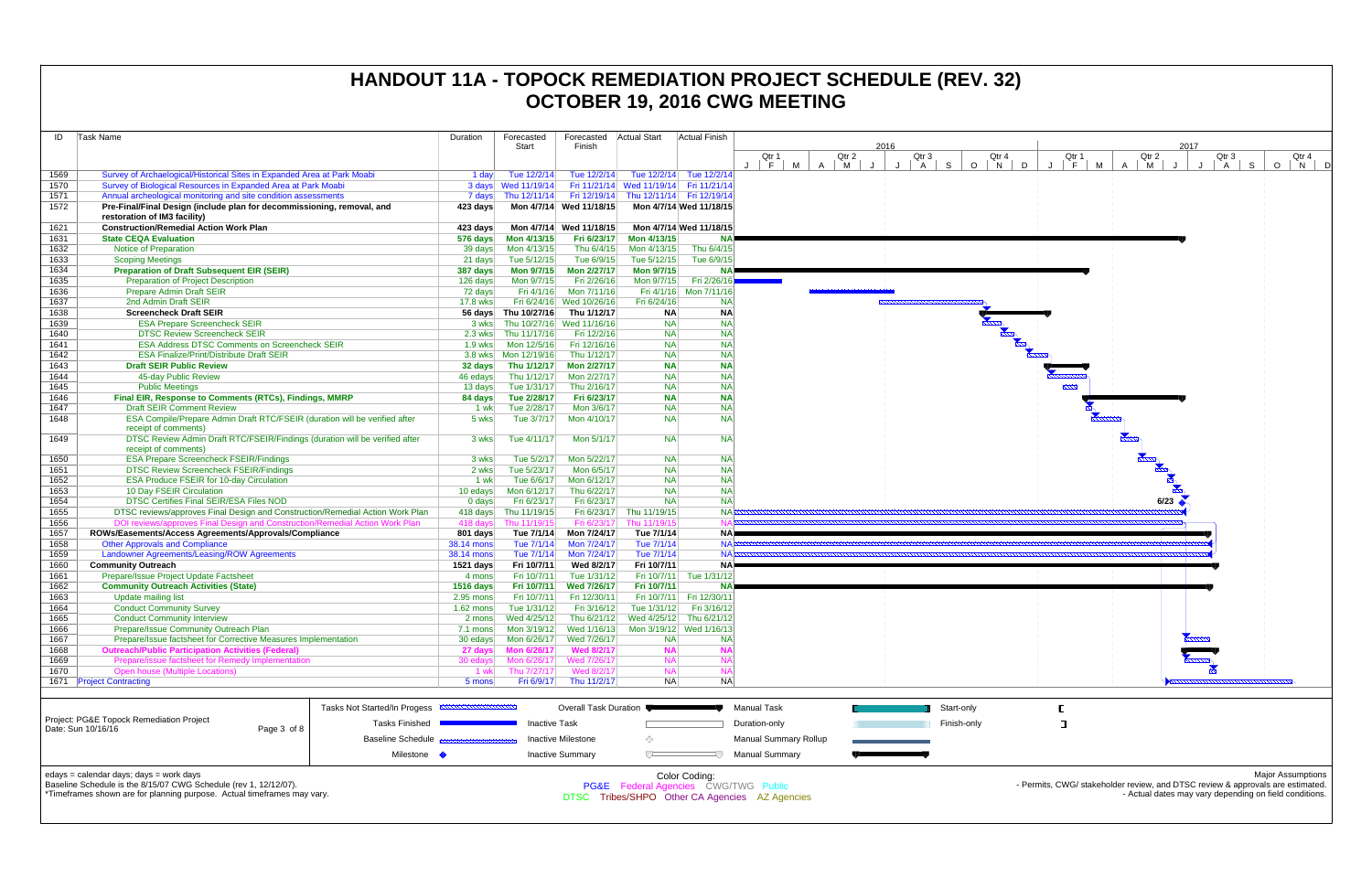| ID           | <b>Task Name</b>                                                                                       |                                                         | Duration                 | Forecasted                 | Forecasted                  | <b>Actual Start</b>                    | Actual Finish                         |                              |                   |              |             |
|--------------|--------------------------------------------------------------------------------------------------------|---------------------------------------------------------|--------------------------|----------------------------|-----------------------------|----------------------------------------|---------------------------------------|------------------------------|-------------------|--------------|-------------|
|              |                                                                                                        |                                                         |                          | Start                      | Finish                      |                                        |                                       | Qtr 1                        | 2016<br>Qtr 2     | Qtr 3        | Qtr 4       |
|              |                                                                                                        |                                                         |                          |                            |                             |                                        |                                       | F<br>M                       | M<br>$\mathsf{A}$ | $\cdot$<br>A | $O$ N<br>S. |
| 1569         | Survey of Archaelogical/Historical Sites in Expanded Area at Park Moabi                                |                                                         | 1 day                    | Tue 12/2/14                | Tue 12/2/14                 |                                        | Tue 12/2/14 Tue 12/2/14               |                              |                   |              |             |
| 1570         | Survey of Biological Resources in Expanded Area at Park Moabi                                          |                                                         |                          | 3 days Wed 11/19/14        |                             | Fri 11/21/14 Wed 11/19/14 Fri 11/21/14 |                                       |                              |                   |              |             |
| 1571         | Annual archeological monitoring and site condition assessments                                         |                                                         |                          | 7 days Thu 12/11/14        | Fri 12/19/14                | Thu 12/11/14 Fri 12/19/14              |                                       |                              |                   |              |             |
| 1572         | Pre-Final/Final Design (include plan for decommissioning, removal, and<br>restoration of IM3 facility) |                                                         | 423 days                 |                            | Mon 4/7/14 Wed 11/18/15     |                                        | Mon 4/7/14 Wed 11/18/15               |                              |                   |              |             |
| 1621         | <b>Construction/Remedial Action Work Plan</b>                                                          |                                                         | 423 days                 |                            | Mon 4/7/14 Wed 11/18/15     |                                        | Mon 4/7/14 Wed 11/18/15               |                              |                   |              |             |
| 1631         | <b>State CEQA Evaluation</b>                                                                           |                                                         | 576 days                 | Mon 4/13/15                | Fri 6/23/17                 | Mon 4/13/15                            | NAI                                   |                              |                   |              |             |
| 1632         | Notice of Preparation                                                                                  |                                                         | 39 days                  | Mon 4/13/15                | Thu 6/4/15                  | Mon 4/13/15                            | Thu 6/4/15                            |                              |                   |              |             |
| 1633         | <b>Scoping Meetings</b>                                                                                |                                                         | 21 days                  | Tue 5/12/15                | Tue 6/9/15                  | Tue 5/12/15                            | Tue 6/9/15                            |                              |                   |              |             |
| 1634         | <b>Preparation of Draft Subsequent EIR (SEIR)</b>                                                      |                                                         | 387 days                 | Mon 9/7/15                 | Mon 2/27/17                 | Mon 9/7/15                             | <b>NA</b>                             |                              |                   |              |             |
| 1635         | Preparation of Project Description                                                                     |                                                         | 126 days                 | Mon 9/7/15                 | Fri 2/26/16                 | Mon 9/7/15                             | Fri 2/26/16                           |                              |                   |              |             |
| 1636         | Prepare Admin Draft SEIR                                                                               |                                                         | 72 days                  | Fri 4/1/16                 | Mon 7/11/16                 |                                        | Fri 4/1/16 Mon 7/11/16                |                              |                   |              |             |
| 1637         | 2nd Admin Draft SEIR                                                                                   |                                                         | 17.8 wks                 | Fri 6/24/16                | Wed 10/26/16                | Fri 6/24/16                            | <b>NA</b>                             |                              |                   |              |             |
| 1638         | <b>Screencheck Draft SEIR</b>                                                                          |                                                         |                          | 56 days Thu 10/27/16       | Thu 1/12/17                 | <b>NA</b>                              | <b>NA</b>                             |                              |                   |              |             |
| 1639         | <b>ESA Prepare Screencheck SEIR</b>                                                                    |                                                         | 3 wks                    |                            | Thu 10/27/16 Wed 11/16/16   | <b>NA</b>                              | <b>NA</b>                             |                              |                   |              |             |
| 1640         | <b>DTSC Review Screencheck SEIR</b>                                                                    |                                                         | $2.3$ wks                | Thu 11/17/16               | Fri 12/2/16                 | <b>NA</b>                              | <b>NA</b>                             |                              |                   |              |             |
| 1641         | <b>ESA Address DTSC Comments on Screencheck SEIR</b>                                                   |                                                         | $1.9$ wks                | Mon 12/5/16                | Fri 12/16/16                | <b>NA</b>                              | <b>NA</b>                             |                              |                   |              |             |
| 1642         | <b>ESA Finalize/Print/Distribute Draft SEIR</b>                                                        |                                                         |                          | 3.8 wks   Mon 12/19/16     | Thu 1/12/17                 | <b>NA</b>                              | <b>NA</b>                             |                              |                   |              |             |
| 1643         | <b>Draft SEIR Public Review</b>                                                                        |                                                         | 32 days                  | Thu 1/12/17                | Mon 2/27/17                 | <b>NA</b>                              | <b>NA</b>                             |                              |                   |              |             |
| 1644         | 45-day Public Review                                                                                   |                                                         | 46 edays                 | Thu 1/12/17                | Mon 2/27/17                 | <b>NA</b>                              | <b>NA</b>                             |                              |                   |              |             |
| 1645         | <b>Public Meetings</b>                                                                                 |                                                         | 13 days                  | Tue 1/31/17                | Thu 2/16/17                 | <b>NA</b>                              | <b>NA</b>                             |                              |                   |              |             |
| 1646         | Final EIR, Response to Comments (RTCs), Findings, MMRP                                                 |                                                         | 84 days                  | Tue 2/28/17                | Fri 6/23/17                 | <b>NA</b>                              | <b>NA</b>                             |                              |                   |              |             |
| 1647         | <b>Draft SEIR Comment Review</b>                                                                       |                                                         | 1 wk                     | Tue 2/28/17                | Mon 3/6/17                  | <b>NA</b>                              | <b>NA</b>                             |                              |                   |              |             |
| 1648         | ESA Compile/Prepare Admin Draft RTC/FSEIR (duration will be verified after<br>receipt of comments)     |                                                         | 5 wks                    | Tue 3/7/17                 | Mon 4/10/17                 | <b>NA</b>                              | <b>NA</b>                             |                              |                   |              |             |
| 1649         | DTSC Review Admin Draft RTC/FSEIR/Findings (duration will be verified after<br>receipt of comments)    |                                                         | 3 wks                    | Tue 4/11/17                | Mon 5/1/17                  | <b>NA</b>                              | <b>NA</b>                             |                              |                   |              |             |
| 1650         | <b>ESA Prepare Screencheck FSEIR/Findings</b>                                                          |                                                         | 3 wks                    | Tue 5/2/17                 | Mon 5/22/17                 | <b>NA</b>                              | <b>NA</b>                             |                              |                   |              |             |
| 1651         | <b>DTSC Review Screencheck FSEIR/Findings</b>                                                          |                                                         | 2 wks                    | Tue 5/23/17                | Mon 6/5/17                  | <b>NA</b>                              | <b>NA</b>                             |                              |                   |              |             |
| 1652         | <b>ESA Produce FSEIR for 10-day Circulation</b>                                                        |                                                         | 1 wk                     | Tue 6/6/17                 | Mon 6/12/17                 | <b>NA</b>                              | <b>NA</b>                             |                              |                   |              |             |
| 1653         | 10 Day FSEIR Circulation                                                                               |                                                         | 10 edays                 | Mon 6/12/17                | Thu 6/22/17                 | <b>NA</b>                              | <b>NA</b>                             |                              |                   |              |             |
| 1654         | DTSC Certifies Final SEIR/ESA Files NOD                                                                |                                                         | $0$ days                 | Fri 6/23/17                | Fri 6/23/17                 | <b>NA</b>                              | <b>NA</b>                             |                              |                   |              |             |
| 1655         | DTSC reviews/approves Final Design and Construction/Remedial Action Work Plan                          |                                                         | 418 days                 | Thu 11/19/15               | Fri 6/23/17                 | Thu 11/19/15                           | <b>NA</b>                             |                              |                   |              |             |
| 1656         | DOI reviews/approves Final Design and Construction/Remedial Action Work Plan                           |                                                         | 418 days                 | Thu 11/19/15               | Fri 6/23/17                 | Thu 11/19/15                           | <b>NA</b>                             |                              |                   |              |             |
| 1657         | ROWs/Easements/Access Agreements/Approvals/Compliance                                                  |                                                         | 801 days                 | Tue 7/1/14                 | Mon 7/24/17                 | Tue 7/1/14                             | NA <sup>I</sup>                       |                              |                   |              |             |
| 1658         | <b>Other Approvals and Compliance</b>                                                                  |                                                         | 38.14 mons               | Tue 7/1/14                 | Mon 7/24/17                 | Tue 7/1/14                             | <b>NAF</b>                            |                              |                   |              |             |
| 1659         | Landowner Agreements/Leasing/ROW Agreements                                                            |                                                         | 38.14 mons               | Tue 7/1/14                 | Mon 7/24/17                 | Tue 7/1/14                             | <b>NA</b>                             |                              |                   |              |             |
| 1660         | <b>Community Outreach</b>                                                                              |                                                         | 1521 days                | Fri 10/7/11                | Wed 8/2/17                  | Fri 10/7/11                            | <b>NA</b>                             |                              |                   |              |             |
| 1661         | Prepare/Issue Project Update Factsheet                                                                 |                                                         | 4 mons                   | Fri 10/7/11                | Tue 1/31/12                 |                                        | Fri 10/7/11 Tue 1/31/12               |                              |                   |              |             |
| 1662         | <b>Community Outreach Activities (State)</b>                                                           |                                                         | $1516$ days              | Fri 10/7/11                | Wed 7/26/17                 | Fri 10/7/11                            | <b>NA</b><br>Fri 10/7/11 Fri 12/30/11 |                              |                   |              |             |
| 1663<br>1664 | Update mailing list<br><b>Conduct Community Survey</b>                                                 |                                                         | 2.95 mons<br>$1.62$ mons | Fri 10/7/11<br>Tue 1/31/12 | Fri 12/30/11<br>Fri 3/16/12 | Tue 1/31/12                            | Fri 3/16/12                           |                              |                   |              |             |
| 1665         | <b>Conduct Community Interview</b>                                                                     |                                                         | 2 mons                   | Wed 4/25/12                | Thu 6/21/12                 |                                        | Wed 4/25/12 Thu 6/21/12               |                              |                   |              |             |
| 1666         | <b>Prepare/Issue Community Outreach Plan</b>                                                           |                                                         | 7.1 mons                 | Mon 3/19/12                | Wed 1/16/13                 |                                        | Mon 3/19/12 Wed 1/16/13               |                              |                   |              |             |
| 1667         | Prepare/Issue factsheet for Corrective Measures Implementation                                         |                                                         | 30 edays                 | Mon 6/26/17                | Wed 7/26/17                 | <b>NA</b>                              | <b>NA</b>                             |                              |                   |              |             |
| 1668         | <b>Outreach/Public Participation Activities (Federal)</b>                                              |                                                         | 27 days                  | <b>Mon 6/26/17</b>         | <b>Wed 8/2/17</b>           | <b>NA</b>                              | <b>NA</b>                             |                              |                   |              |             |
| 1669         | Prepare/issue factsheet for Remedy Implementation                                                      |                                                         | 30 edays                 | Mon 6/26/17                | Wed 7/26/17                 | <b>NA</b>                              | <b>NA</b>                             |                              |                   |              |             |
| 1670         | <b>Open house (Multiple Locations)</b>                                                                 |                                                         | 1 wk                     | Thu 7/27/17                | Wed 8/2/17                  | <b>NA</b>                              | <b>NA</b>                             |                              |                   |              |             |
|              | 1671 Project Contracting                                                                               |                                                         | 5 mons                   | Fri 6/9/17                 | Thu 11/2/17                 | <b>NA</b>                              | <b>NA</b>                             |                              |                   |              |             |
|              |                                                                                                        |                                                         |                          |                            |                             |                                        |                                       |                              |                   |              |             |
|              |                                                                                                        | Tasks Not Started/In Progess <b>EXAMPLE DETERMINENT</b> |                          |                            | Overall Task Duration       |                                        |                                       | <b>Manual Task</b>           |                   |              | Start-only  |
|              | Project: PG&E Topock Remediation Project                                                               | <b>Tasks Finished</b>                                   |                          | <b>Inactive Task</b>       |                             |                                        |                                       | Duration-only                |                   |              | Finish-only |
|              | Date: Sun 10/16/16<br>Page 3 of 8                                                                      |                                                         |                          |                            |                             |                                        |                                       |                              |                   |              |             |
|              |                                                                                                        | Baseline Schedule B                                     |                          |                            | <b>Inactive Milestone</b>   | ◇                                      |                                       | <b>Manual Summary Rollup</b> |                   |              |             |
|              |                                                                                                        | Milestone •                                             |                          |                            | <b>Inactive Summary</b>     | $\overline{ }$                         | -57                                   | <b>Manual Summary</b>        |                   |              |             |
|              | edays = calendar days; days = work days                                                                |                                                         |                          |                            |                             |                                        | Color Coding:                         |                              |                   |              |             |



Baseline Schedule is the 8/15/07 CWG Schedule (rev 1, 12/12/07).

\*Timeframes shown are for planning purpose. Actual timeframes may vary.

Color Coding: PG&E Federal Agencies CWG/TWG Public DTSC Tribes/SHPO Other CA Agencies AZ Agencies